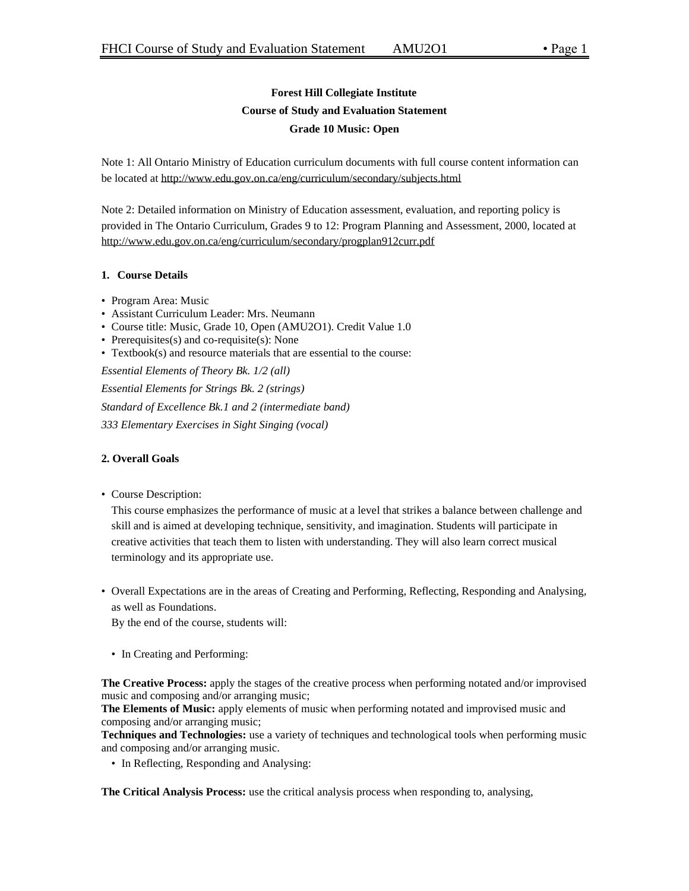# **Forest Hill Collegiate Institute Course of Study and Evaluation Statement Grade 10 Music: Open**

Note 1: All Ontario Ministry of Education curriculum documents with full course content information can be located at http://www.edu.gov.on.ca/eng/curriculum/secondary/subjects.html

Note 2: Detailed information on Ministry of Education assessment, evaluation, and reporting policy is provided in The Ontario Curriculum, Grades 9 to 12: Program Planning and Assessment, 2000, located at http://www.edu.gov.on.ca/eng/curriculum/secondary/progplan912curr.pdf

# **1. Course Details**

- Program Area: Music
- Assistant Curriculum Leader: Mrs. Neumann
- Course title: Music, Grade 10, Open (AMU2O1). Credit Value 1.0
- Prerequisites(s) and co-requisite(s): None
- Textbook(s) and resource materials that are essential to the course:

*Essential Elements of Theory Bk. 1/2 (all) Essential Elements for Strings Bk. 2 (strings) Standard of Excellence Bk.1 and 2 (intermediate band) 333 Elementary Exercises in Sight Singing (vocal)*

# **2. Overall Goals**

• Course Description:

This course emphasizes the performance of music at a level that strikes a balance between challenge and skill and is aimed at developing technique, sensitivity, and imagination. Students will participate in creative activities that teach them to listen with understanding. They will also learn correct musical terminology and its appropriate use.

• Overall Expectations are in the areas of Creating and Performing, Reflecting, Responding and Analysing, as well as Foundations.

By the end of the course, students will:

• In Creating and Performing:

**The Creative Process:** apply the stages of the creative process when performing notated and/or improvised music and composing and/or arranging music;

**The Elements of Music:** apply elements of music when performing notated and improvised music and composing and/or arranging music;

**Techniques and Technologies:** use a variety of techniques and technological tools when performing music and composing and/or arranging music.

• In Reflecting, Responding and Analysing:

**The Critical Analysis Process:** use the critical analysis process when responding to, analysing,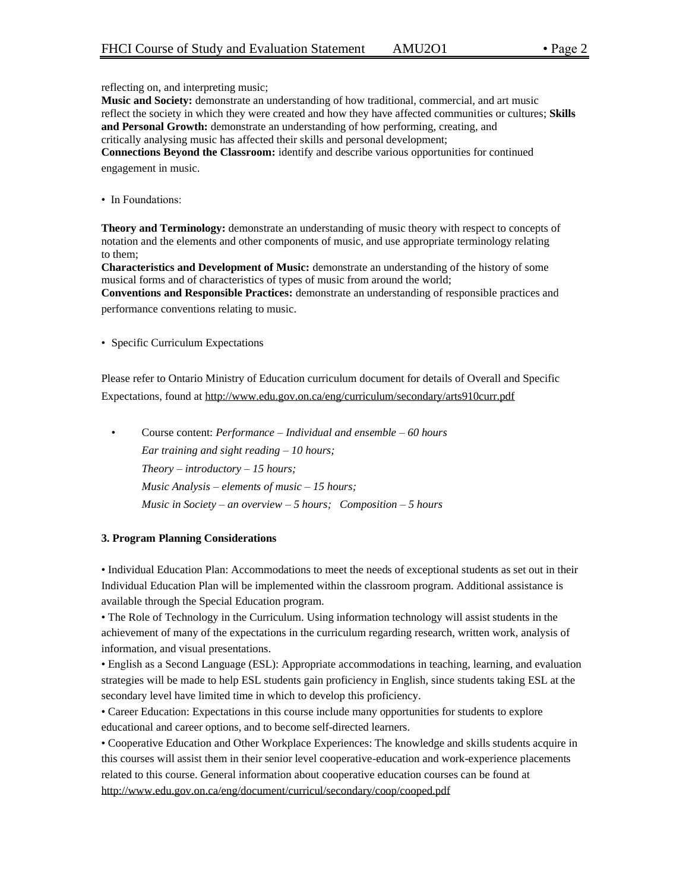reflecting on, and interpreting music;

**Music and Society:** demonstrate an understanding of how traditional, commercial, and art music reflect the society in which they were created and how they have affected communities or cultures; **Skills and Personal Growth:** demonstrate an understanding of how performing, creating, and critically analysing music has affected their skills and personal development;

**Connections Beyond the Classroom:** identify and describe various opportunities for continued engagement in music.

• In Foundations:

**Theory and Terminology:** demonstrate an understanding of music theory with respect to concepts of notation and the elements and other components of music, and use appropriate terminology relating to them;

**Characteristics and Development of Music:** demonstrate an understanding of the history of some musical forms and of characteristics of types of music from around the world;

**Conventions and Responsible Practices:** demonstrate an understanding of responsible practices and performance conventions relating to music.

• Specific Curriculum Expectations

Please refer to Ontario Ministry of Education curriculum document for details of Overall and Specific Expectations, found at http://www.edu.gov.on.ca/eng/curriculum/secondary/arts910curr.pdf

• Course content: *Performance – Individual and ensemble – 60 hours Ear training and sight reading – 10 hours; Theory – introductory – 15 hours; Music Analysis – elements of music – 15 hours; Music in Society – an overview – 5 hours; Composition – 5 hours*

#### **3. Program Planning Considerations**

• Individual Education Plan: Accommodations to meet the needs of exceptional students as set out in their Individual Education Plan will be implemented within the classroom program. Additional assistance is available through the Special Education program.

• The Role of Technology in the Curriculum. Using information technology will assist students in the achievement of many of the expectations in the curriculum regarding research, written work, analysis of information, and visual presentations.

• English as a Second Language (ESL): Appropriate accommodations in teaching, learning, and evaluation strategies will be made to help ESL students gain proficiency in English, since students taking ESL at the secondary level have limited time in which to develop this proficiency.

• Career Education: Expectations in this course include many opportunities for students to explore educational and career options, and to become self-directed learners.

• Cooperative Education and Other Workplace Experiences: The knowledge and skills students acquire in this courses will assist them in their senior level cooperative-education and work-experience placements related to this course. General information about cooperative education courses can be found at http://www.edu.gov.on.ca/eng/document/curricul/secondary/coop/cooped.pdf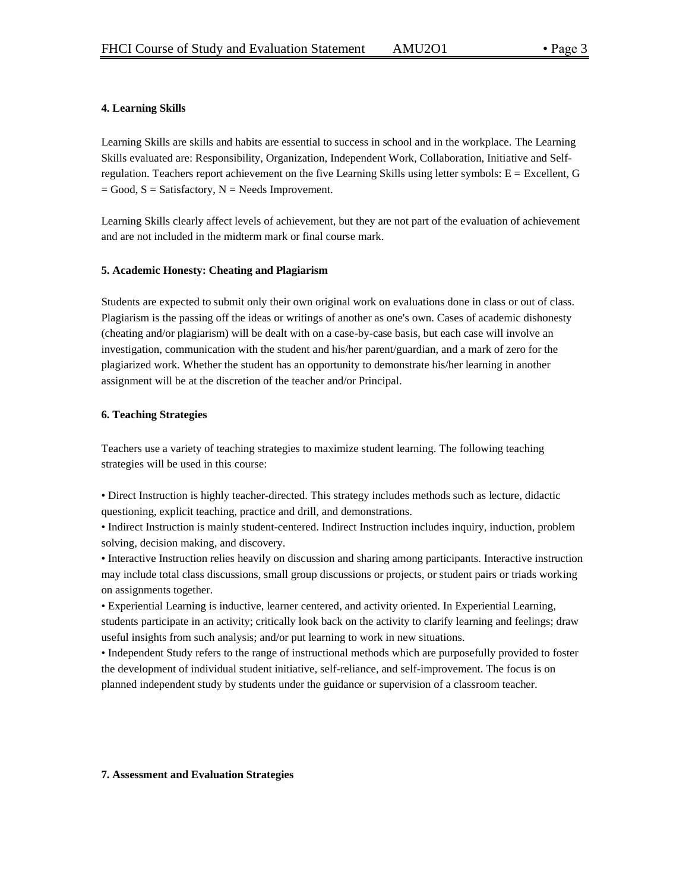# **4. Learning Skills**

Learning Skills are skills and habits are essential to success in school and in the workplace. The Learning Skills evaluated are: Responsibility, Organization, Independent Work, Collaboration, Initiative and Selfregulation. Teachers report achievement on the five Learning Skills using letter symbols: E = Excellent, G  $=$  Good,  $S =$  Satisfactory,  $N =$  Needs Improvement.

Learning Skills clearly affect levels of achievement, but they are not part of the evaluation of achievement and are not included in the midterm mark or final course mark.

#### **5. Academic Honesty: Cheating and Plagiarism**

Students are expected to submit only their own original work on evaluations done in class or out of class. Plagiarism is the passing off the ideas or writings of another as one's own. Cases of academic dishonesty (cheating and/or plagiarism) will be dealt with on a case-by-case basis, but each case will involve an investigation, communication with the student and his/her parent/guardian, and a mark of zero for the plagiarized work. Whether the student has an opportunity to demonstrate his/her learning in another assignment will be at the discretion of the teacher and/or Principal.

#### **6. Teaching Strategies**

Teachers use a variety of teaching strategies to maximize student learning. The following teaching strategies will be used in this course:

• Direct Instruction is highly teacher-directed. This strategy includes methods such as lecture, didactic questioning, explicit teaching, practice and drill, and demonstrations.

• Indirect Instruction is mainly student-centered. Indirect Instruction includes inquiry, induction, problem solving, decision making, and discovery.

• Interactive Instruction relies heavily on discussion and sharing among participants. Interactive instruction may include total class discussions, small group discussions or projects, or student pairs or triads working on assignments together.

• Experiential Learning is inductive, learner centered, and activity oriented. In Experiential Learning, students participate in an activity; critically look back on the activity to clarify learning and feelings; draw useful insights from such analysis; and/or put learning to work in new situations.

• Independent Study refers to the range of instructional methods which are purposefully provided to foster the development of individual student initiative, self-reliance, and self-improvement. The focus is on planned independent study by students under the guidance or supervision of a classroom teacher.

#### **7. Assessment and Evaluation Strategies**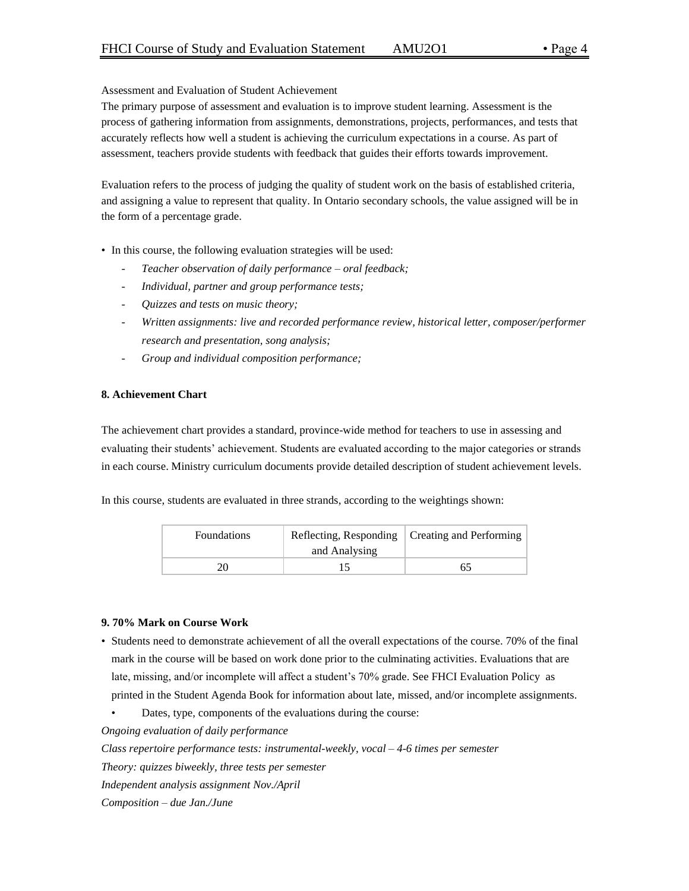#### Assessment and Evaluation of Student Achievement

The primary purpose of assessment and evaluation is to improve student learning. Assessment is the process of gathering information from assignments, demonstrations, projects, performances, and tests that accurately reflects how well a student is achieving the curriculum expectations in a course. As part of assessment, teachers provide students with feedback that guides their efforts towards improvement.

Evaluation refers to the process of judging the quality of student work on the basis of established criteria, and assigning a value to represent that quality. In Ontario secondary schools, the value assigned will be in the form of a percentage grade.

- In this course, the following evaluation strategies will be used:
	- *Teacher observation of daily performance – oral feedback;*
	- *Individual, partner and group performance tests;*
	- *Quizzes and tests on music theory;*
	- *Written assignments: live and recorded performance review, historical letter, composer/performer research and presentation, song analysis;*
	- *Group and individual composition performance;*

#### **8. Achievement Chart**

The achievement chart provides a standard, province-wide method for teachers to use in assessing and evaluating their students' achievement. Students are evaluated according to the major categories or strands in each course. Ministry curriculum documents provide detailed description of student achievement levels.

In this course, students are evaluated in three strands, according to the weightings shown:

| <b>Foundations</b> | and Analysing | Reflecting, Responding   Creating and Performing |
|--------------------|---------------|--------------------------------------------------|
|                    |               |                                                  |

#### **9. 70% Mark on Course Work**

- Students need to demonstrate achievement of all the overall expectations of the course. 70% of the final mark in the course will be based on work done prior to the culminating activities. Evaluations that are late, missing, and/or incomplete will affect a student's 70% grade. See FHCI Evaluation Policy as printed in the Student Agenda Book for information about late, missed, and/or incomplete assignments.
	- Dates, type, components of the evaluations during the course:

*Ongoing evaluation of daily performance*

*Class repertoire performance tests: instrumental-weekly, vocal – 4-6 times per semester Theory: quizzes biweekly, three tests per semester Independent analysis assignment Nov./April*

*Composition – due Jan./June*